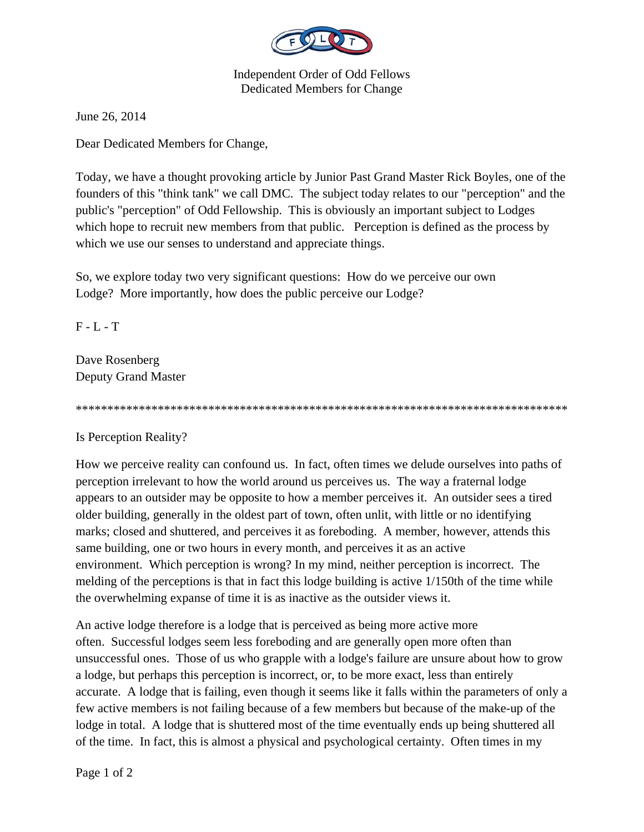

Independent Order of Odd Fellows Dedicated Members for Change

June 26, 2014

Dear Dedicated Members for Change,

Today, we have a thought provoking article by Junior Past Grand Master Rick Boyles, one of the founders of this "think tank" we call DMC. The subject today relates to our "perception" and the public's "perception" of Odd Fellowship. This is obviously an important subject to Lodges which hope to recruit new members from that public. Perception is defined as the process by which we use our senses to understand and appreciate things.

So, we explore today two very significant questions: How do we perceive our own Lodge? More importantly, how does the public perceive our Lodge?

 $F - L - T$ 

Dave Rosenberg Deputy Grand Master

\*\*\*\*\*\*\*\*\*\*\*\*\*\*\*\*\*\*\*\*\*\*\*\*\*\*\*\*\*\*\*\*\*\*\*\*\*\*\*\*\*\*\*\*\*\*\*\*\*\*\*\*\*\*\*\*\*\*\*\*\*\*\*\*\*\*\*\*\*\*\*\*\*\*\*\*\*\*

Is Perception Reality?

How we perceive reality can confound us. In fact, often times we delude ourselves into paths of perception irrelevant to how the world around us perceives us. The way a fraternal lodge appears to an outsider may be opposite to how a member perceives it. An outsider sees a tired older building, generally in the oldest part of town, often unlit, with little or no identifying marks; closed and shuttered, and perceives it as foreboding. A member, however, attends this same building, one or two hours in every month, and perceives it as an active environment. Which perception is wrong? In my mind, neither perception is incorrect. The melding of the perceptions is that in fact this lodge building is active 1/150th of the time while the overwhelming expanse of time it is as inactive as the outsider views it.

An active lodge therefore is a lodge that is perceived as being more active more often. Successful lodges seem less foreboding and are generally open more often than unsuccessful ones. Those of us who grapple with a lodge's failure are unsure about how to grow a lodge, but perhaps this perception is incorrect, or, to be more exact, less than entirely accurate. A lodge that is failing, even though it seems like it falls within the parameters of only a few active members is not failing because of a few members but because of the make-up of the lodge in total. A lodge that is shuttered most of the time eventually ends up being shuttered all of the time. In fact, this is almost a physical and psychological certainty. Often times in my